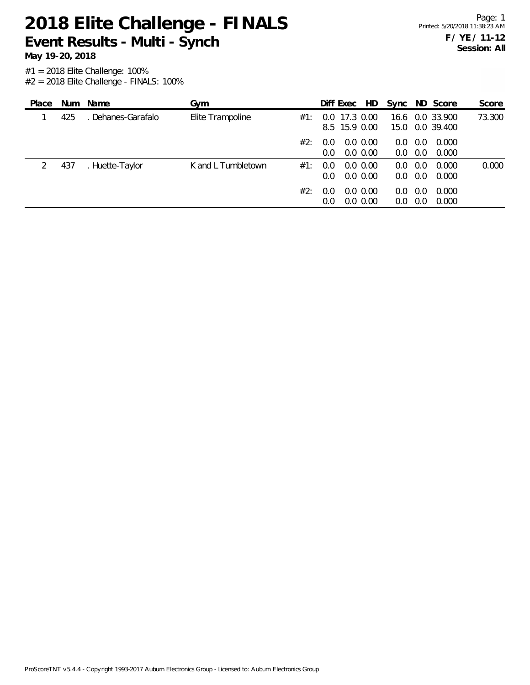**Event Results - Multi - Synch**

#1 = 2018 Elite Challenge: 100% **May 19-20, 2018**

 $#2 = 2018$  Elite Challenge - FINALS: 100%

| Place |     | Num Name           | Gym                |     |                      | Diff Exec HD                   |                            |                        |            | Sync ND Score                      | Score  |
|-------|-----|--------------------|--------------------|-----|----------------------|--------------------------------|----------------------------|------------------------|------------|------------------------------------|--------|
|       | 425 | . Dehanes-Garafalo | Elite Trampoline   | #1: |                      | 0.0 17.3 0.00<br>8.5 15.9 0.00 |                            |                        |            | 16.6 0.0 33.900<br>15.0 0.0 39.400 | 73.300 |
|       |     |                    |                    | #2: | 0.0<br>$0.0^{\circ}$ |                                | $0.0\,0.00$<br>0.0 0.00    | $0.0^{\circ}$<br>0.0   | 0.0<br>0.0 | 0.000<br>0.000                     |        |
| 2     | 437 | . Huette-Taylor    | K and L Tumbletown | #1: | 0.0<br>$0.0^{\circ}$ |                                | $0.0\,0.00$<br>$0.0\,0.00$ | 0.0<br>$0.0 \quad 0.0$ | 0.0        | 0.000<br>0.000                     | 0.000  |
|       |     |                    |                    | #2: | 0.0<br>0.0           |                                | $0.0\,0.00$<br>$0.0\,0.00$ | 0.0<br>0.0             | 0.0<br>0.0 | 0.000<br>0.000                     |        |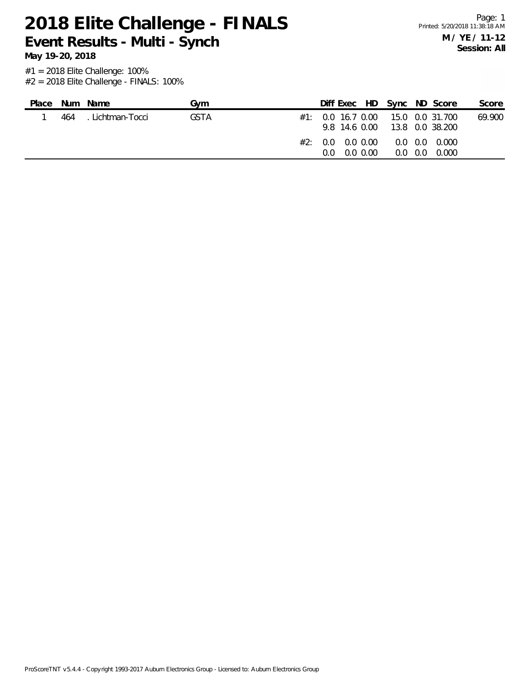**Event Results - Multi - Synch**

**May 19-20, 2018**

| Place | Num | Name             | Gvm         |     |                                                          |                 | Diff Exec HD Sync ND Score                               | Score  |
|-------|-----|------------------|-------------|-----|----------------------------------------------------------|-----------------|----------------------------------------------------------|--------|
|       | 464 | . Lichtman-Tocci | <b>GSTA</b> |     | 9.8 14.6 0.00                                            |                 | $\#1$ : 0.0 16.7 0.00 15.0 0.0 31.700<br>13.8 0.0 38.200 | 69.900 |
|       |     |                  |             | #2: | $0.0 \quad 0.0 \quad 0.00$<br>$0.0 \quad 0.0 \quad 0.00$ | $0.0 \quad 0.0$ | $0.0\quad 0.0\quad 0.000$<br>0.000                       |        |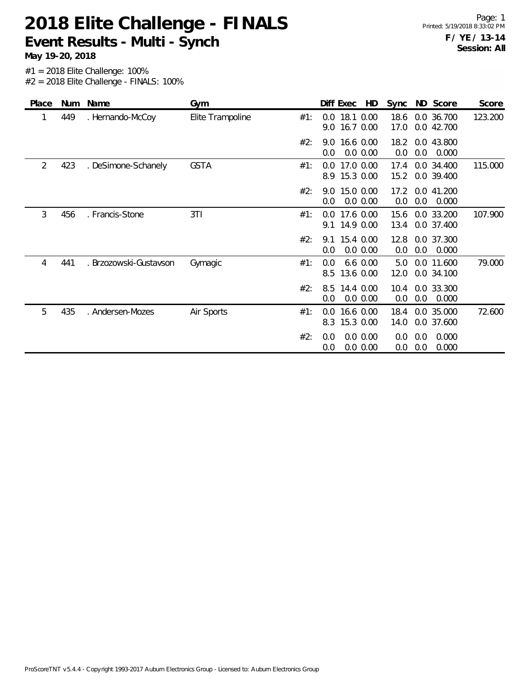**Event Results - Multi - Synch**

**May 19-20, 2018**

| Place | <b>Num</b> | Name                   | Gym              |     |            | Diff Exec                  | HD                   | Sync         |            | ND Score                 | Score   |
|-------|------------|------------------------|------------------|-----|------------|----------------------------|----------------------|--------------|------------|--------------------------|---------|
| 1     | 449        | . Hernando-McCoy       | Elite Trampoline | #1: | 0.0<br>9.0 | 18.1 0.00<br>16.7 0.00     |                      | 18.6<br>17.0 |            | 0.0 36.700<br>0.0 42.700 | 123.200 |
|       |            |                        |                  | #2: | 0.0        | 9.0 16.6 0.00              | 0.0 0.00             | 18.2<br>0.0  | 0.0        | 0.0 43.800<br>0.000      |         |
| 2     | 423        | . DeSimone-Schanely    | <b>GSTA</b>      | #1: | 0.0        | 17.0 0.00<br>8.9 15.3 0.00 |                      | 17.4<br>15.2 |            | 0.0 34.400<br>0.0 39.400 | 115.000 |
|       |            |                        |                  | #2: | 0.0        | 9.0 15.0 0.00              | 0.0 0.00             | 17.2<br>0.0  | 0.0        | 0.0 41.200<br>0.000      |         |
| 3     | 456        | . Francis-Stone        | 3T1              | #1: | 0.0        | 17.6 0.00<br>9.1 14.9 0.00 |                      | 15.6<br>13.4 |            | 0.0 33.200<br>0.0 37.400 | 107.900 |
|       |            |                        |                  | #2: | 9.1<br>0.0 | 15.4 0.00                  | 0.0 0.00             | 12.8<br>0.0  | 0.0        | 0.0 37.300<br>0.000      |         |
| 4     | 441        | . Brzozowski-Gustavson | Gymagic          | #1: | 0.0<br>8.5 | 13.6 0.00                  | $6.6$ 0.00           | 5.0<br>12.0  |            | 0.0 11.600<br>0.0 34.100 | 79.000  |
|       |            |                        |                  | #2: | 8.5<br>0.0 | 14.4 0.00                  | 0.0 0.00             | 10.4<br>0.0  | 0.0        | 0.0 33.300<br>0.000      |         |
| 5     | 435        | . Andersen-Mozes       | Air Sports       | #1: | 0.0<br>8.3 | 15.3 0.00                  | 16.6 0.00            | 18.4<br>14.0 |            | 0.0 35.000<br>0.0 37.600 | 72.600  |
|       |            |                        |                  | #2: | 0.0<br>0.0 |                            | 0.0 0.00<br>0.0 0.00 | 0.0<br>0.0   | 0.0<br>0.0 | 0.000<br>0.000           |         |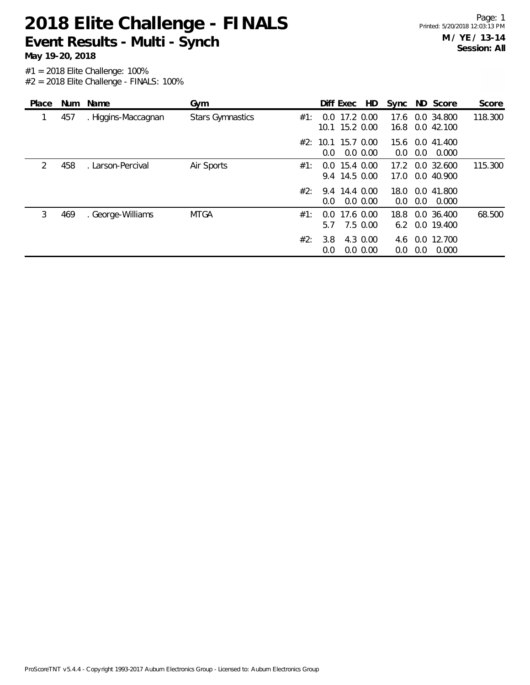**Event Results - Multi - Synch**

**May 19-20, 2018**

| Place         |     | Num Name            | Gym                     |     |                    | Diff Exec         | HD          |      |     | Sync ND Score | Score   |
|---------------|-----|---------------------|-------------------------|-----|--------------------|-------------------|-------------|------|-----|---------------|---------|
| 1             | 457 | . Higgins-Maccagnan | <b>Stars Gymnastics</b> | #1: |                    | $0.0$ 17.2 $0.00$ |             | 17.6 |     | 0.0 34.800    | 118.300 |
|               |     |                     |                         |     |                    | 10.1 15.2 0.00    |             | 16.8 |     | $0.0\,42.100$ |         |
|               |     |                     |                         |     | #2: 10.1 15.7 0.00 |                   |             | 15.6 |     | 0.0 41.400    |         |
|               |     |                     |                         |     | 0.0                |                   | 0.0 0.00    | 0.0  | 0.0 | 0.000         |         |
| $\mathcal{P}$ | 458 | Larson-Percival     | Air Sports              | #1: |                    | $0.0$ 15.4 $0.00$ |             | 17.2 |     | 0.0 32.600    | 115.300 |
|               |     |                     |                         |     |                    | 9.4 14.5 0.00     |             | 17.0 |     | 0.0 40.900    |         |
|               |     |                     |                         | #2: |                    | 9.4 14.4 0.00     |             | 18.0 | 0.0 | 41.800        |         |
|               |     |                     |                         |     | 0.0                |                   | $0.0\,0.00$ | 0.0  | 0.0 | 0.000         |         |
| 3             | 469 | . George-Williams   | <b>MTGA</b>             | #1: | 0.0                | 17.6 0.00         |             | 18.8 |     | 0.0 36.400    | 68.500  |
|               |     |                     |                         |     | 5.7                |                   | 7.5 0.00    | 6.2  |     | 0.0 19.400    |         |
|               |     |                     |                         | #2: | 3.8                |                   | 4.3 0.00    | 4.6  |     | 0.0 12.700    |         |
|               |     |                     |                         |     | 0.0                |                   | $0.0\,0.00$ | 0.0  | 0.0 | 0.000         |         |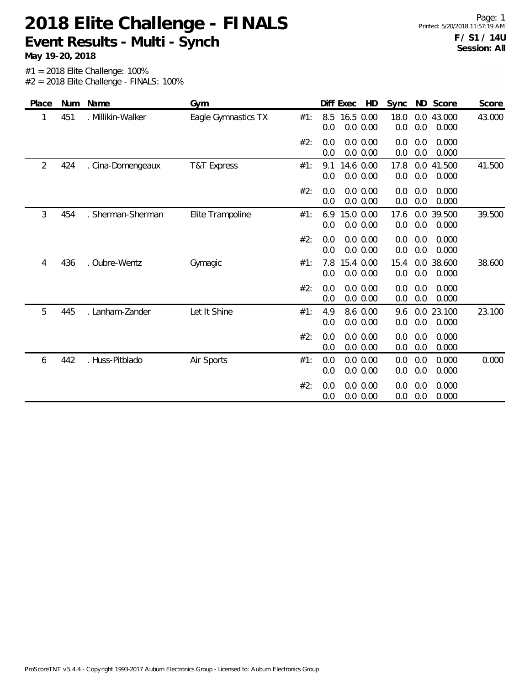#### **2018 Elite Challenge - FINALS Event Results - Multi - Synch**

Page: 1 Printed: 5/20/2018 11:57:19 AM **F / S1 / 14U Session: All**

**May 19-20, 2018**

| Place          | Num | Name              | Gym                 |     | Diff Exec<br>HD                       | ND Score<br>Sync                                 | Score  |
|----------------|-----|-------------------|---------------------|-----|---------------------------------------|--------------------------------------------------|--------|
|                | 451 | . Millikin-Walker | Eagle Gymnastics TX | #1: | 16.5 0.00<br>8.5<br>0.0 0.00<br>0.0   | 18.0<br>0.0 43.000<br>0.0<br>0.0<br>0.000        | 43.000 |
|                |     |                   |                     | #2: | 0.0<br>0.0 0.00<br>0.0 0.00<br>0.0    | 0.0<br>0.000<br>0.0<br>0.0<br>0.0<br>0.000       |        |
| $\overline{2}$ | 424 | . Cina-Domengeaux | T&T Express         | #1: | 14.6 0.00<br>9.1<br>0.0 0.00<br>0.0   | 41.500<br>17.8<br>0.0<br>$0.0\,$<br>0.0<br>0.000 | 41.500 |
|                |     |                   |                     | #2: | 0.0<br>0.0 0.00<br>0.0 0.00<br>0.0    | 0.000<br>0.0<br>0.0<br>0.0<br>0.0<br>0.000       |        |
| 3              | 454 | . Sherman-Sherman | Elite Trampoline    | #1: | 15.0 0.00<br>6.9<br>0.0 0.00<br>0.0   | 17.6<br>0.0<br>39.500<br>0.0<br>0.0<br>0.000     | 39.500 |
|                |     |                   |                     | #2: | 0.0 0.00<br>0.0<br>0.0 0.00<br>0.0    | 0.0<br>0.0<br>0.000<br>0.0<br>0.0<br>0.000       |        |
| 4              | 436 | . Oubre-Wentz     | Gymagic             | #1: | 15.4 0.00<br>7.8<br>0.0 0.00<br>0.0   | 15.4<br>0.0<br>38.600<br>0.0<br>0.0<br>0.000     | 38.600 |
|                |     |                   |                     | #2: | 0.0<br>0.0 0.00<br>0.0 0.00<br>0.0    | 0.0<br>0.0<br>0.000<br>0.0<br>0.0<br>0.000       |        |
| 5              | 445 | . Lanham-Zander   | Let It Shine        | #1: | 4.9<br>8.6 0.00<br>0.0 0.00<br>0.0    | 0.0 23.100<br>9.6<br>0.0<br>0.0<br>0.000         | 23.100 |
|                |     |                   |                     | #2: | 0.0<br>0.0 0.00<br>0.0 0.00<br>0.0    | 0.0<br>0.0<br>0.000<br>0.0<br>0.0<br>0.000       |        |
| 6              | 442 | . Huss-Pitblado   | Air Sports          | #1: | $0.0\ 0.00$<br>0.0<br>0.0 0.00<br>0.0 | 0.0<br>0.0<br>0.000<br>0.0<br>0.0<br>0.000       | 0.000  |
|                |     |                   |                     | #2: | 0.0<br>0.0 0.00<br>0.0<br>0.0 0.00    | 0.000<br>0.0<br>0.0<br>0.0<br>0.0<br>0.000       |        |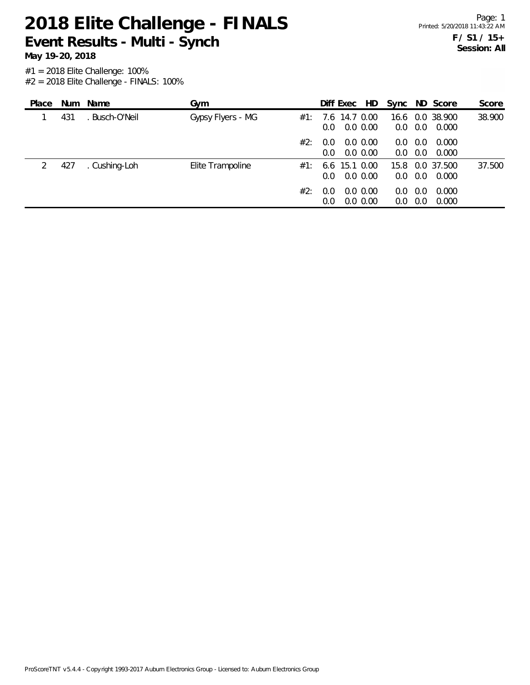**Event Results - Multi - Synch**

**May 19-20, 2018**

| Place |     | Num Name      | Gvm               |     | Diff Exec              | HD                         |             |            | Sync ND Score       | Score  |
|-------|-----|---------------|-------------------|-----|------------------------|----------------------------|-------------|------------|---------------------|--------|
|       | 431 | Busch-O'Neil  | Gypsy Flyers - MG | #1: | 7.6 14.7 0.00<br>0.0   | $0.0\,0.00$                | 16.6<br>0.0 | 0.0        | 0.0 38.900<br>0.000 | 38.900 |
|       |     |               |                   | #2: | 0.0<br>0.0             | $0.0\,0.00$<br>$0.0\,0.00$ | 0.0<br>0.0  | 0.0<br>0.0 | 0.000<br>0.000      |        |
| 2     | 427 | . Cushing-Loh | Elite Trampoline  | #1: | $6.6$ 15.1 0.00<br>0.0 | $0.0\,0.00$                | 15.8<br>0.0 | 0.0        | 0.0 37.500<br>0.000 | 37.500 |
|       |     |               |                   | #2: | 0.0<br>0.0             | $0.0\,0.00$<br>$0.0\,0.00$ | 0.0<br>0.0  | 0.0<br>0.0 | 0.000<br>0.000      |        |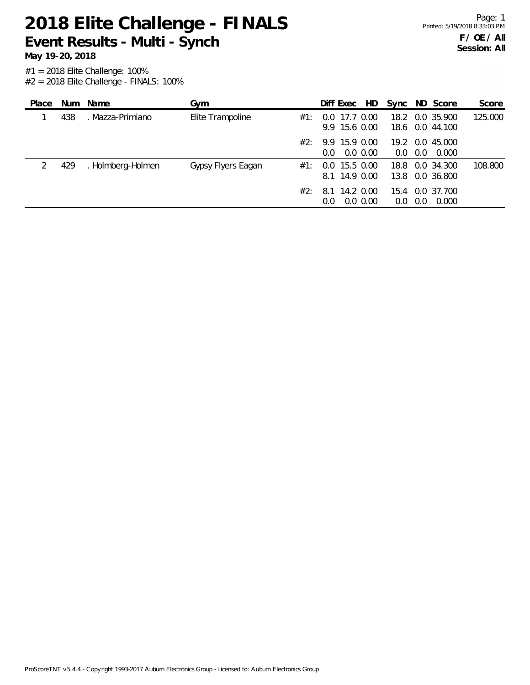**Event Results - Multi - Synch**

**May 19-20, 2018**

| Place |     | Num Name          | Gym                       |               | Diff Exec                          | HD.           | Sync            |     | ND Score                           | Score   |
|-------|-----|-------------------|---------------------------|---------------|------------------------------------|---------------|-----------------|-----|------------------------------------|---------|
|       | 438 | . Mazza-Primiano  | Elite Trampoline<br>#1:   | $0.0^{\circ}$ | 17.7 0.00                          | 9.9 15.6 0.00 | 18.2            |     | 0.0 35.900<br>18.6 0.0 44.100      | 125.000 |
|       |     |                   | #2:                       | 0.0           | 9.9 15.9 0.00                      | $0.0\,0.00$   | 0.0             | 0.0 | 19.2 0.0 45.000<br>0.000           |         |
| 2     | 429 | . Holmberg-Holmen | Gypsy Flyers Eagan<br>#1: |               | $0.0$ 15.5 $0.00$<br>8.1 14.9 0.00 |               |                 |     | 18.8 0.0 34.300<br>13.8 0.0 36.800 | 108.800 |
|       |     |                   | #2:                       | 8.1<br>0.0    | 14.2 0.00                          | $0.0\,0.00$   | 15.4<br>$0.0\,$ | 0.0 | 0.0 37.700<br>0.000                |         |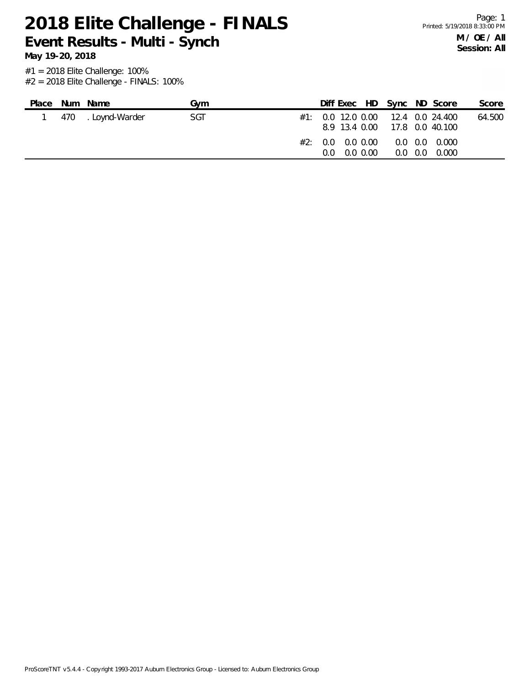**Event Results - Multi - Synch**

**May 19-20, 2018**

| Place | Num Name           | Gvm |  |                            |  | Diff Exec HD Sync ND Score                                             | Score  |
|-------|--------------------|-----|--|----------------------------|--|------------------------------------------------------------------------|--------|
|       | 470 . Loynd-Warder | SGT |  |                            |  | $\#1$ : 0.0 12.0 0.00 12.4 0.0 24.400<br>8.9 13.4 0.00 17.8 0.0 40.100 | 64.500 |
|       |                    |     |  | $0.0 \quad 0.0 \quad 0.00$ |  | $\#2:$ 0.0 0.0 0.00 0.0 0.0 0.000<br>$0.0 \quad 0.0 \quad 0.000$       |        |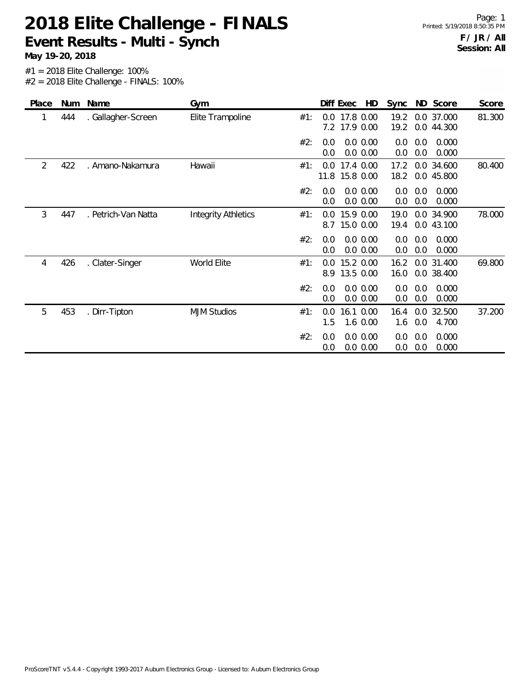#### **2018 Elite Challenge - FINALS Event Results - Multi - Synch**

Page: 1

**May 19-20, 2018**

| Place | Num | Name                | Gym                        |     |            | HD<br>Diff Exec             | Sync         |            | ND Score                 | Score  |
|-------|-----|---------------------|----------------------------|-----|------------|-----------------------------|--------------|------------|--------------------------|--------|
| 1     | 444 | . Gallagher-Screen  | Elite Trampoline           | #1: | 0.0        | 17.8 0.00<br>7.2 17.9 0.00  | 19.2<br>19.2 |            | 0.0 37.000<br>0.0 44.300 | 81.300 |
|       |     |                     |                            | #2: | 0.0<br>0.0 | 0.0 0.00<br>0.0 0.00        | 0.0<br>0.0   | 0.0<br>0.0 | 0.000<br>0.000           |        |
| 2     | 422 | . Amano-Nakamura    | Hawaii                     | #1: | 0.0        | 17.4 0.00<br>11.8 15.8 0.00 | 17.2<br>18.2 |            | 0.0 34.600<br>0.0 45.800 | 80.400 |
|       |     |                     |                            | #2: | 0.0<br>0.0 | 0.0 0.00<br>0.0 0.00        | 0.0<br>0.0   | 0.0<br>0.0 | 0.000<br>0.000           |        |
| 3     | 447 | . Petrich-Van Natta | <b>Integrity Athletics</b> | #1: | 0.0        | 15.9 0.00<br>8.7 15.0 0.00  | 19.0<br>19.4 |            | 0.0 34.900<br>0.0 43.100 | 78.000 |
|       |     |                     |                            | #2: | 0.0<br>0.0 | 0.0 0.00<br>0.0 0.00        | 0.0<br>0.0   | 0.0<br>0.0 | 0.000<br>0.000           |        |
| 4     | 426 | . Clater-Singer     | World Elite                | #1: | 0.0<br>8.9 | 15.2 0.00<br>13.5 0.00      | 16.2<br>16.0 |            | 0.0 31.400<br>0.0 38.400 | 69.800 |
|       |     |                     |                            | #2: | 0.0<br>0.0 | 0.0 0.00<br>0.0 0.00        | 0.0<br>0.0   | 0.0<br>0.0 | 0.000<br>0.000           |        |
| 5     | 453 | . Dirr-Tipton       | <b>MJM Studios</b>         | #1: | 0.0<br>1.5 | 16.1 0.00<br>$1.6$ 0.00     | 16.4<br>1.6  | 0.0        | 0.0 32.500<br>4.700      | 37.200 |
|       |     |                     |                            | #2: | 0.0<br>0.0 | 0.0 0.00<br>0.0 0.00        | 0.0<br>0.0   | 0.0<br>0.0 | 0.000<br>0.000           |        |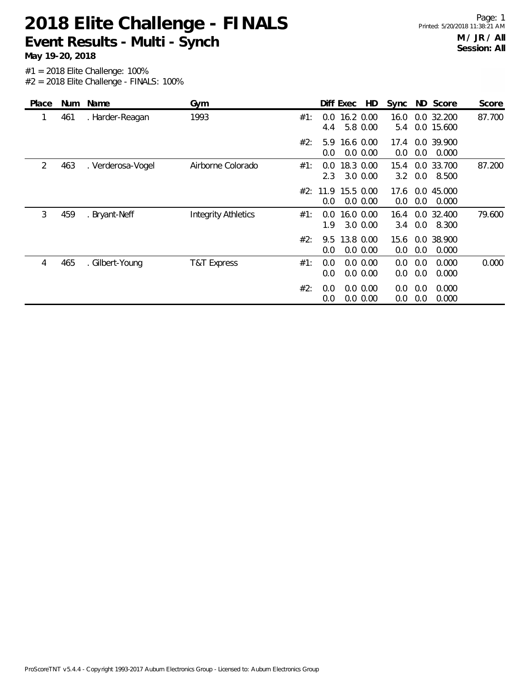**Event Results - Multi - Synch**

**May 19-20, 2018**

| Place | Num | Name              | Gym                        | HD<br>ND Score<br>Diff Exec<br>Sync<br>Score                                                         |
|-------|-----|-------------------|----------------------------|------------------------------------------------------------------------------------------------------|
| 1     | 461 | . Harder-Reagan   | 1993                       | 16.2 0.00<br>0.0 32.200<br>87.700<br>#1:<br>0.0<br>16.0<br>5.8 0.00<br>0.0 15.600<br>4.4<br>5.4      |
|       |     |                   |                            | #2:<br>16.6 0.00<br>0.0 39.900<br>5.9<br>17.4<br>0.0 0.00<br>0.0<br>0.000<br>0.0<br>0.0              |
| 2     | 463 | . Verderosa-Vogel | Airborne Colorado          | 0.0 33.700<br>87.200<br>18.3 0.00<br>#1:<br>0.0<br>15.4<br>2.3<br>3.0 0.00<br>0.0<br>3.2<br>8.500    |
|       |     |                   |                            | 15.5 0.00<br>0.0 45.000<br>#2:<br>11.9<br>17.6<br>0.0 0.00<br>0.0<br>0.0<br>0.0<br>0.000             |
| 3     | 459 | . Bryant-Neff     | <b>Integrity Athletics</b> | 0.0 32.400<br>16.0 0.00<br>79.600<br>#1:<br>0.0<br>16.4<br>1.9<br>$3.0\ 0.00$<br>0.0<br>8.300<br>3.4 |
|       |     |                   |                            | #2:<br>13.8 0.00<br>0.0 38.900<br>9.5<br>15.6<br>0.0 0.00<br>0.0<br>0.000<br>0.0<br>0.0              |
| 4     | 465 | . Gilbert-Young   | T&T Express                | #1:<br>0.0<br>0.0 0.00<br>0.0<br>0.000<br>0.000<br>0.0<br>0.0 0.00<br>0.0<br>0.0<br>0.000<br>0.0     |
|       |     |                   |                            | #2:<br>0.0<br>0.0 0.00<br>0.000<br>0.0<br>0.0<br>0.0 0.00<br>0.000<br>0.0<br>0.0<br>0.0              |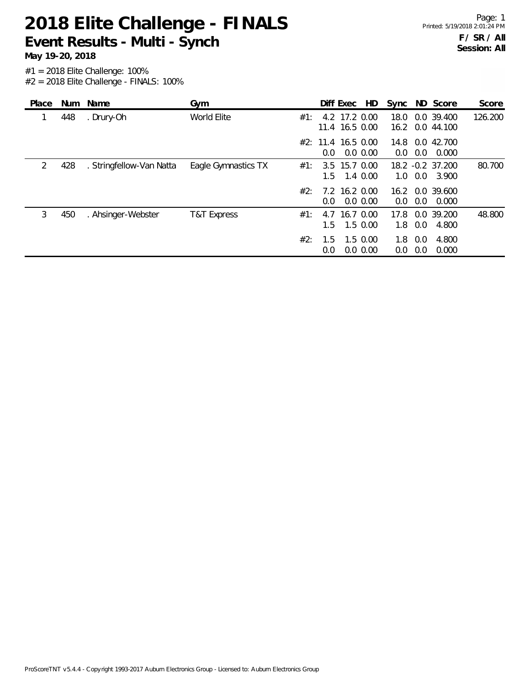**Event Results - Multi - Synch**

#1 = 2018 Elite Challenge: 100% **May 19-20, 2018**

 $#2 = 2018$  Elite Challenge - FINALS: 100%

| Place |     | Num Name                 | Gym                 |     |                                        | Diff Exec     | HD                           | Sync         |            | ND Score                  | Score   |
|-------|-----|--------------------------|---------------------|-----|----------------------------------------|---------------|------------------------------|--------------|------------|---------------------------|---------|
|       | 448 | . Drury-Oh               | World Elite         | #1: |                                        | 4.2 17.2 0.00 | 11.4 16.5 0.00               | 18.0<br>16.2 |            | 0.0 39.400<br>0.0 44.100  | 126.200 |
|       |     |                          |                     |     | #2: 11.4 16.5 0.00<br>0.0 <sub>1</sub> |               | $0.0\,0.00$                  | 14.8<br>0.0  | 0.0        | 0.0 42.700<br>0.000       |         |
| 2     | 428 | . Stringfellow-Van Natta | Eagle Gymnastics TX | #1: | 1.5                                    | 3.5 15.7 0.00 | 1.4 0.00                     | 1.0          | 0.0        | 18.2 -0.2 37.200<br>3.900 | 80.700  |
|       |     |                          |                     | #2: | 0.0                                    | 7.2 16.2 0.00 | 0.0 0.00                     | 0.0          | 0.0        | 16.2 0.0 39.600<br>0.000  |         |
| 3     | 450 | . Ahsinger-Webster       | T&T Express         | #1: | 4.7<br>1.5                             | 16.7 0.00     | $1.5 \, 0.00$                | 17.8<br>1.8  | 0.0        | 0.0 39.200<br>4.800       | 48.800  |
|       |     |                          |                     | #2: | 1.5<br>0.0                             |               | $1.5 \, 0.00$<br>$0.0\,0.00$ | 1.8<br>0.0   | 0.0<br>0.0 | 4.800<br>0.000            |         |